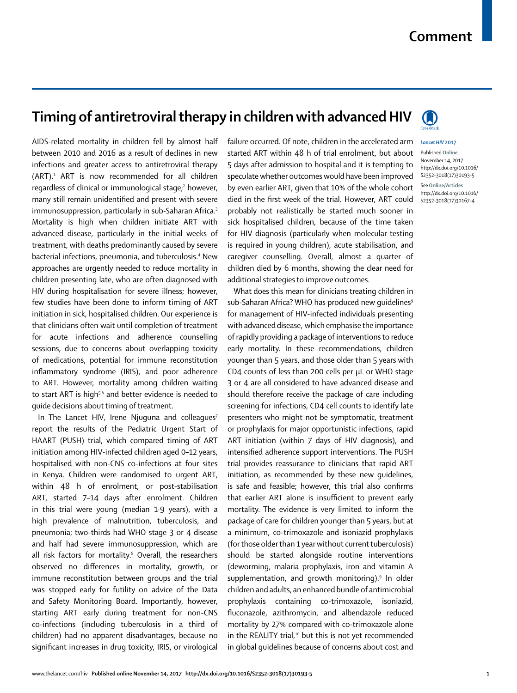## **Timing of antiretroviral therapy in children with advanced HIV**

AIDS-related mortality in children fell by almost half between 2010 and 2016 as a result of declines in new infections and greater access to antiretroviral therapy (ART).1 ART is now recommended for all children regardless of clinical or immunological stage;<sup>2</sup> however, many still remain unidentified and present with severe immunosuppression, particularly in sub-Saharan Africa.<sup>3</sup> Mortality is high when children initiate ART with advanced disease, particularly in the initial weeks of treatment, with deaths predominantly caused by severe bacterial infections, pneumonia, and tuberculosis.4 New approaches are urgently needed to reduce mortality in children presenting late, who are often diagnosed with HIV during hospitalisation for severe illness; however, few studies have been done to inform timing of ART initiation in sick, hospitalised children. Our experience is that clinicians often wait until completion of treatment for acute infections and adherence counselling sessions, due to concerns about overlapping toxicity of medications, potential for immune reconstitution inflammatory syndrome (IRIS), and poor adherence to ART. However, mortality among children waiting to start ART is high<sup>5,6</sup> and better evidence is needed to guide decisions about timing of treatment.

In The Lancet HIV, Irene Njuguna and colleagues<sup>7</sup> report the results of the Pediatric Urgent Start of HAART (PUSH) trial, which compared timing of ART initiation among HIV-infected children aged 0–12 years, hospitalised with non-CNS co-infections at four sites in Kenya. Children were randomised to urgent ART, within 48 h of enrolment, or post-stabilisation ART, started 7–14 days after enrolment. Children in this trial were young (median 1·9 years), with a high prevalence of malnutrition, tuberculosis, and pneumonia; two-thirds had WHO stage 3 or 4 disease and half had severe immunosuppression, which are all risk factors for mortality.<sup>8</sup> Overall, the researchers observed no differences in mortality, growth, or immune reconstitution between groups and the trial was stopped early for futility on advice of the Data and Safety Monitoring Board. Importantly, however, starting ART early during treatment for non-CNS co-infections (including tuberculosis in a third of children) had no apparent disadvantages, because no significant increases in drug toxicity, IRIS, or virological



failure occurred. Of note, children in the accelerated arm *Lancet HIV* **2017**

Published **Online** November 14, 2017 http://dx.doi.org/10.1016/ S2352-3018(17)30193-5 See**Online/Articles** http://dx.doi.org/10.1016/ S2352-3018(17)30167-4

additional strategies to improve outcomes. What does this mean for clinicians treating children in sub-Saharan Africa? WHO has produced new quidelines<sup>9</sup> for management of HIV-infected individuals presenting with advanced disease, which emphasise the importance of rapidly providing a package of interventions to reduce early mortality. In these recommendations, children younger than 5 years, and those older than 5 years with CD4 counts of less than 200 cells per μL or WHO stage 3 or 4 are all considered to have advanced disease and should therefore receive the package of care including screening for infections, CD4 cell counts to identify late presenters who might not be symptomatic, treatment or prophylaxis for major opportunistic infections, rapid ART initiation (within 7 days of HIV diagnosis), and intensified adherence support interventions. The PUSH trial provides reassurance to clinicians that rapid ART initiation, as recommended by these new guidelines, is safe and feasible; however, this trial also confirms that earlier ART alone is insufficient to prevent early mortality. The evidence is very limited to inform the package of care for children younger than 5 years, but at a minimum, co-trimoxazole and isoniazid prophylaxis (for those older than 1 year without current tuberculosis) should be started alongside routine interventions (deworming, malaria prophylaxis, iron and vitamin A supplementation, and growth monitoring).<sup>9</sup> In older children and adults, an enhanced bundle of antimicrobial prophylaxis containing co-trimoxazole, isoniazid, fluconazole, azithromycin, and albendazole reduced mortality by 27% compared with co-trimoxazole alone in the REALITY trial,<sup>10</sup> but this is not yet recommended in global guidelines because of concerns about cost and

started ART within 48 h of trial enrolment, but about 5 days after admission to hospital and it is tempting to speculate whether outcomes would have been improved by even earlier ART, given that 10% of the whole cohort died in the first week of the trial. However, ART could probably not realistically be started much sooner in sick hospitalised children, because of the time taken for HIV diagnosis (particularly when molecular testing is required in young children), acute stabilisation, and caregiver counselling. Overall, almost a quarter of children died by 6 months, showing the clear need for